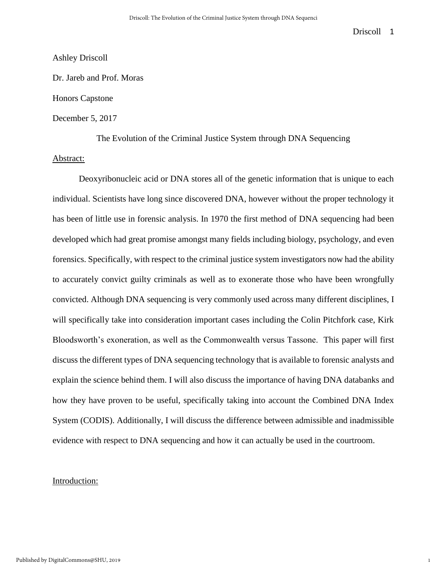1

### Ashley Driscoll

Dr. Jareb and Prof. Moras

Honors Capstone

### December 5, 2017

The Evolution of the Criminal Justice System through DNA Sequencing

### Abstract:

Deoxyribonucleic acid or DNA stores all of the genetic information that is unique to each individual. Scientists have long since discovered DNA, however without the proper technology it has been of little use in forensic analysis. In 1970 the first method of DNA sequencing had been developed which had great promise amongst many fields including biology, psychology, and even forensics. Specifically, with respect to the criminal justice system investigators now had the ability to accurately convict guilty criminals as well as to exonerate those who have been wrongfully convicted. Although DNA sequencing is very commonly used across many different disciplines, I will specifically take into consideration important cases including the Colin Pitchfork case, Kirk Bloodsworth's exoneration, as well as the Commonwealth versus Tassone. This paper will first discuss the different types of DNA sequencing technology that is available to forensic analysts and explain the science behind them. I will also discuss the importance of having DNA databanks and how they have proven to be useful, specifically taking into account the Combined DNA Index System (CODIS). Additionally, I will discuss the difference between admissible and inadmissible evidence with respect to DNA sequencing and how it can actually be used in the courtroom.

### Introduction: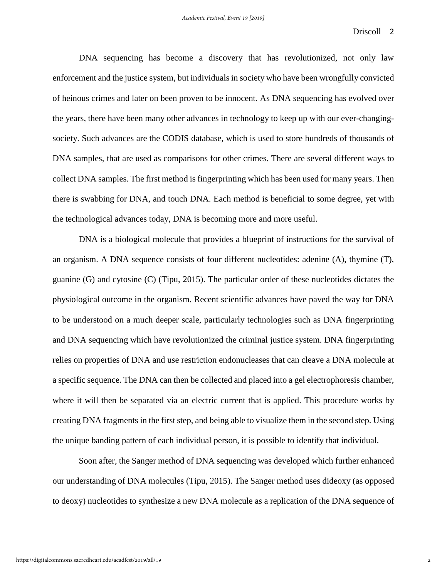DNA sequencing has become a discovery that has revolutionized, not only law enforcement and the justice system, but individuals in society who have been wrongfully convicted of heinous crimes and later on been proven to be innocent. As DNA sequencing has evolved over the years, there have been many other advances in technology to keep up with our ever-changingsociety. Such advances are the CODIS database, which is used to store hundreds of thousands of DNA samples, that are used as comparisons for other crimes. There are several different ways to collect DNA samples. The first method is fingerprinting which has been used for many years. Then there is swabbing for DNA, and touch DNA. Each method is beneficial to some degree, yet with the technological advances today, DNA is becoming more and more useful.

DNA is a biological molecule that provides a blueprint of instructions for the survival of an organism. A DNA sequence consists of four different nucleotides: adenine (A), thymine (T), guanine (G) and cytosine (C) (Tipu, 2015). The particular order of these nucleotides dictates the physiological outcome in the organism. Recent scientific advances have paved the way for DNA to be understood on a much deeper scale, particularly technologies such as DNA fingerprinting and DNA sequencing which have revolutionized the criminal justice system. DNA fingerprinting relies on properties of DNA and use restriction endonucleases that can cleave a DNA molecule at a specific sequence. The DNA can then be collected and placed into a gel electrophoresis chamber, where it will then be separated via an electric current that is applied. This procedure works by creating DNA fragments in the first step, and being able to visualize them in the second step. Using the unique banding pattern of each individual person, it is possible to identify that individual.

Soon after, the Sanger method of DNA sequencing was developed which further enhanced our understanding of DNA molecules (Tipu, 2015). The Sanger method uses dideoxy (as opposed to deoxy) nucleotides to synthesize a new DNA molecule as a replication of the DNA sequence of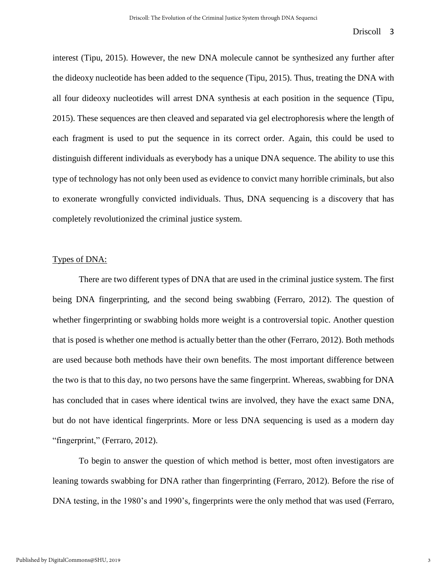interest (Tipu, 2015). However, the new DNA molecule cannot be synthesized any further after the dideoxy nucleotide has been added to the sequence (Tipu, 2015). Thus, treating the DNA with all four dideoxy nucleotides will arrest DNA synthesis at each position in the sequence (Tipu, 2015). These sequences are then cleaved and separated via gel electrophoresis where the length of each fragment is used to put the sequence in its correct order. Again, this could be used to distinguish different individuals as everybody has a unique DNA sequence. The ability to use this type of technology has not only been used as evidence to convict many horrible criminals, but also to exonerate wrongfully convicted individuals. Thus, DNA sequencing is a discovery that has completely revolutionized the criminal justice system.

# Types of DNA:

There are two different types of DNA that are used in the criminal justice system. The first being DNA fingerprinting, and the second being swabbing (Ferraro, 2012). The question of whether fingerprinting or swabbing holds more weight is a controversial topic. Another question that is posed is whether one method is actually better than the other (Ferraro, 2012). Both methods are used because both methods have their own benefits. The most important difference between the two is that to this day, no two persons have the same fingerprint. Whereas, swabbing for DNA has concluded that in cases where identical twins are involved, they have the exact same DNA, but do not have identical fingerprints. More or less DNA sequencing is used as a modern day "fingerprint," (Ferraro, 2012).

To begin to answer the question of which method is better, most often investigators are leaning towards swabbing for DNA rather than fingerprinting (Ferraro, 2012). Before the rise of DNA testing, in the 1980's and 1990's, fingerprints were the only method that was used (Ferraro,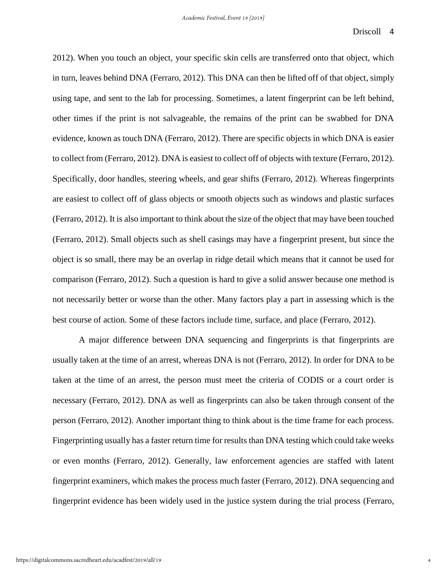2012). When you touch an object, your specific skin cells are transferred onto that object, which in turn, leaves behind DNA (Ferraro, 2012). This DNA can then be lifted off of that object, simply using tape, and sent to the lab for processing. Sometimes, a latent fingerprint can be left behind, other times if the print is not salvageable, the remains of the print can be swabbed for DNA evidence, known as touch DNA (Ferraro, 2012). There are specific objects in which DNA is easier to collect from (Ferraro, 2012). DNA is easiest to collect off of objects with texture (Ferraro, 2012). Specifically, door handles, steering wheels, and gear shifts (Ferraro, 2012). Whereas fingerprints are easiest to collect off of glass objects or smooth objects such as windows and plastic surfaces (Ferraro, 2012). It is also important to think about the size of the object that may have been touched (Ferraro, 2012). Small objects such as shell casings may have a fingerprint present, but since the object is so small, there may be an overlap in ridge detail which means that it cannot be used for comparison (Ferraro, 2012). Such a question is hard to give a solid answer because one method is not necessarily better or worse than the other. Many factors play a part in assessing which is the best course of action. Some of these factors include time, surface, and place (Ferraro, 2012).

A major difference between DNA sequencing and fingerprints is that fingerprints are usually taken at the time of an arrest, whereas DNA is not (Ferraro, 2012). In order for DNA to be taken at the time of an arrest, the person must meet the criteria of CODIS or a court order is necessary (Ferraro, 2012). DNA as well as fingerprints can also be taken through consent of the person (Ferraro, 2012). Another important thing to think about is the time frame for each process. Fingerprinting usually has a faster return time for results than DNA testing which could take weeks or even months (Ferraro, 2012). Generally, law enforcement agencies are staffed with latent fingerprint examiners, which makes the process much faster (Ferraro, 2012). DNA sequencing and fingerprint evidence has been widely used in the justice system during the trial process (Ferraro,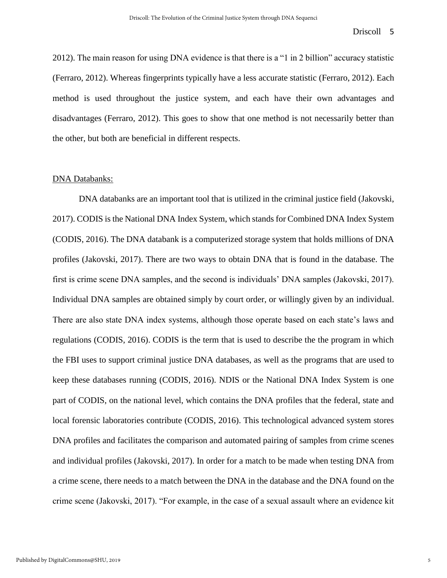2012). The main reason for using DNA evidence is that there is a "1 in 2 billion" accuracy statistic (Ferraro, 2012). Whereas fingerprints typically have a less accurate statistic (Ferraro, 2012). Each method is used throughout the justice system, and each have their own advantages and disadvantages (Ferraro, 2012). This goes to show that one method is not necessarily better than the other, but both are beneficial in different respects.

#### DNA Databanks:

DNA databanks are an important tool that is utilized in the criminal justice field (Jakovski, 2017). CODIS is the National DNA Index System, which stands for Combined DNA Index System (CODIS, 2016). The DNA databank is a computerized storage system that holds millions of DNA profiles (Jakovski, 2017). There are two ways to obtain DNA that is found in the database. The first is crime scene DNA samples, and the second is individuals' DNA samples (Jakovski, 2017). Individual DNA samples are obtained simply by court order, or willingly given by an individual. There are also state DNA index systems, although those operate based on each state's laws and regulations (CODIS, 2016). CODIS is the term that is used to describe the the program in which the FBI uses to support criminal justice DNA databases, as well as the programs that are used to keep these databases running (CODIS, 2016). NDIS or the National DNA Index System is one part of CODIS, on the national level, which contains the DNA profiles that the federal, state and local forensic laboratories contribute (CODIS, 2016). This technological advanced system stores DNA profiles and facilitates the comparison and automated pairing of samples from crime scenes and individual profiles (Jakovski, 2017). In order for a match to be made when testing DNA from a crime scene, there needs to a match between the DNA in the database and the DNA found on the crime scene (Jakovski, 2017). "For example, in the case of a sexual assault where an evidence kit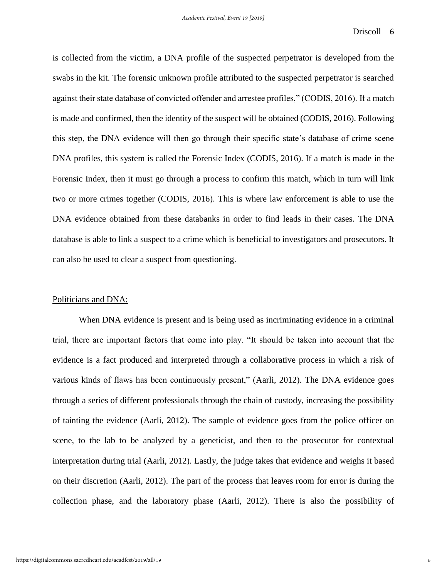is collected from the victim, a DNA profile of the suspected perpetrator is developed from the swabs in the kit. The forensic unknown profile attributed to the suspected perpetrator is searched against their state database of convicted offender and arrestee profiles," (CODIS, 2016). If a match is made and confirmed, then the identity of the suspect will be obtained (CODIS, 2016). Following this step, the DNA evidence will then go through their specific state's database of crime scene DNA profiles, this system is called the Forensic Index (CODIS, 2016). If a match is made in the Forensic Index, then it must go through a process to confirm this match, which in turn will link two or more crimes together (CODIS, 2016). This is where law enforcement is able to use the DNA evidence obtained from these databanks in order to find leads in their cases. The DNA database is able to link a suspect to a crime which is beneficial to investigators and prosecutors. It can also be used to clear a suspect from questioning.

### Politicians and DNA:

When DNA evidence is present and is being used as incriminating evidence in a criminal trial, there are important factors that come into play. "It should be taken into account that the evidence is a fact produced and interpreted through a collaborative process in which a risk of various kinds of flaws has been continuously present," (Aarli, 2012). The DNA evidence goes through a series of different professionals through the chain of custody, increasing the possibility of tainting the evidence (Aarli, 2012). The sample of evidence goes from the police officer on scene, to the lab to be analyzed by a geneticist, and then to the prosecutor for contextual interpretation during trial (Aarli, 2012). Lastly, the judge takes that evidence and weighs it based on their discretion (Aarli, 2012). The part of the process that leaves room for error is during the collection phase, and the laboratory phase (Aarli, 2012). There is also the possibility of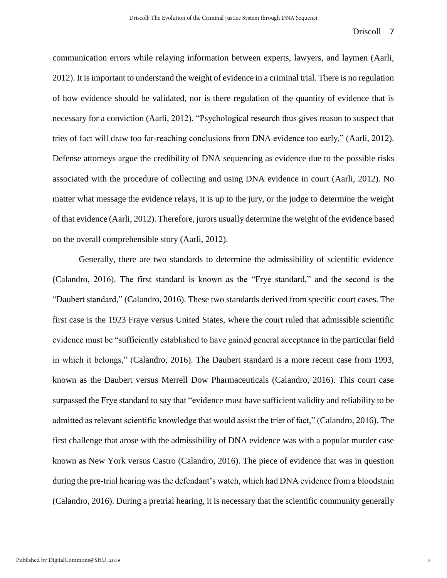communication errors while relaying information between experts, lawyers, and laymen (Aarli, 2012). It is important to understand the weight of evidence in a criminal trial. There is no regulation of how evidence should be validated, nor is there regulation of the quantity of evidence that is necessary for a conviction (Aarli, 2012). "Psychological research thus gives reason to suspect that tries of fact will draw too far-reaching conclusions from DNA evidence too early," (Aarli, 2012). Defense attorneys argue the credibility of DNA sequencing as evidence due to the possible risks associated with the procedure of collecting and using DNA evidence in court (Aarli, 2012). No matter what message the evidence relays, it is up to the jury, or the judge to determine the weight of that evidence (Aarli, 2012). Therefore, jurors usually determine the weight of the evidence based on the overall comprehensible story (Aarli, 2012).

Generally, there are two standards to determine the admissibility of scientific evidence (Calandro, 2016). The first standard is known as the "Frye standard," and the second is the "Daubert standard," (Calandro, 2016). These two standards derived from specific court cases. The first case is the 1923 Fraye versus United States, where the court ruled that admissible scientific evidence must be "sufficiently established to have gained general acceptance in the particular field in which it belongs," (Calandro, 2016). The Daubert standard is a more recent case from 1993, known as the Daubert versus Merrell Dow Pharmaceuticals (Calandro, 2016). This court case surpassed the Frye standard to say that "evidence must have sufficient validity and reliability to be admitted as relevant scientific knowledge that would assist the trier of fact," (Calandro, 2016). The first challenge that arose with the admissibility of DNA evidence was with a popular murder case known as New York versus Castro (Calandro, 2016). The piece of evidence that was in question during the pre-trial hearing was the defendant's watch, which had DNA evidence from a bloodstain (Calandro, 2016). During a pretrial hearing, it is necessary that the scientific community generally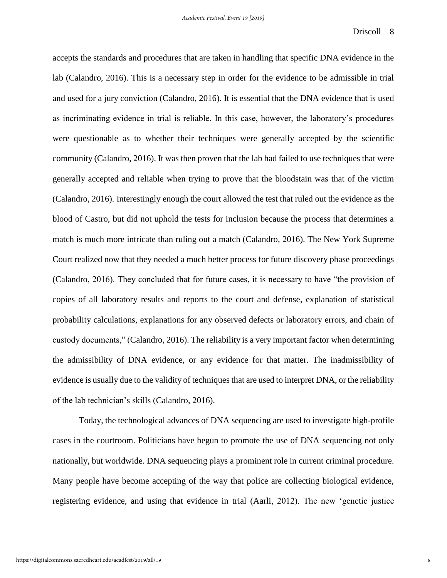accepts the standards and procedures that are taken in handling that specific DNA evidence in the lab (Calandro, 2016). This is a necessary step in order for the evidence to be admissible in trial and used for a jury conviction (Calandro, 2016). It is essential that the DNA evidence that is used as incriminating evidence in trial is reliable. In this case, however, the laboratory's procedures were questionable as to whether their techniques were generally accepted by the scientific community (Calandro, 2016). It was then proven that the lab had failed to use techniques that were generally accepted and reliable when trying to prove that the bloodstain was that of the victim (Calandro, 2016). Interestingly enough the court allowed the test that ruled out the evidence as the blood of Castro, but did not uphold the tests for inclusion because the process that determines a match is much more intricate than ruling out a match (Calandro, 2016). The New York Supreme Court realized now that they needed a much better process for future discovery phase proceedings (Calandro, 2016). They concluded that for future cases, it is necessary to have "the provision of copies of all laboratory results and reports to the court and defense, explanation of statistical probability calculations, explanations for any observed defects or laboratory errors, and chain of custody documents," (Calandro, 2016). The reliability is a very important factor when determining the admissibility of DNA evidence, or any evidence for that matter. The inadmissibility of evidence is usually due to the validity of techniques that are used to interpret DNA, or the reliability of the lab technician's skills (Calandro, 2016).

Today, the technological advances of DNA sequencing are used to investigate high-profile cases in the courtroom. Politicians have begun to promote the use of DNA sequencing not only nationally, but worldwide. DNA sequencing plays a prominent role in current criminal procedure. Many people have become accepting of the way that police are collecting biological evidence, registering evidence, and using that evidence in trial (Aarli, 2012). The new 'genetic justice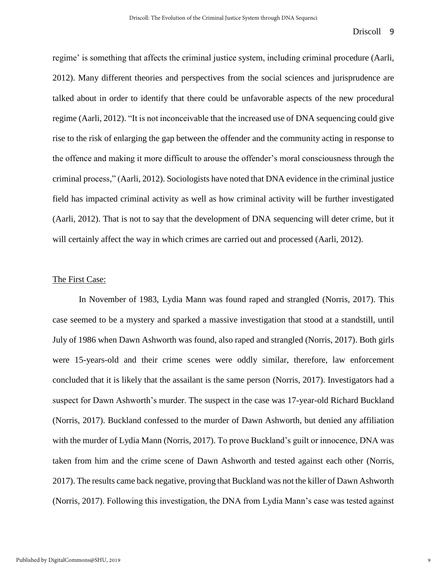regime' is something that affects the criminal justice system, including criminal procedure (Aarli, 2012). Many different theories and perspectives from the social sciences and jurisprudence are talked about in order to identify that there could be unfavorable aspects of the new procedural regime (Aarli, 2012). "It is not inconceivable that the increased use of DNA sequencing could give rise to the risk of enlarging the gap between the offender and the community acting in response to the offence and making it more difficult to arouse the offender's moral consciousness through the criminal process," (Aarli, 2012). Sociologists have noted that DNA evidence in the criminal justice field has impacted criminal activity as well as how criminal activity will be further investigated (Aarli, 2012). That is not to say that the development of DNA sequencing will deter crime, but it will certainly affect the way in which crimes are carried out and processed (Aarli, 2012).

#### The First Case:

In November of 1983, Lydia Mann was found raped and strangled (Norris, 2017). This case seemed to be a mystery and sparked a massive investigation that stood at a standstill, until July of 1986 when Dawn Ashworth was found, also raped and strangled (Norris, 2017). Both girls were 15-years-old and their crime scenes were oddly similar, therefore, law enforcement concluded that it is likely that the assailant is the same person (Norris, 2017). Investigators had a suspect for Dawn Ashworth's murder. The suspect in the case was 17-year-old Richard Buckland (Norris, 2017). Buckland confessed to the murder of Dawn Ashworth, but denied any affiliation with the murder of Lydia Mann (Norris, 2017). To prove Buckland's guilt or innocence, DNA was taken from him and the crime scene of Dawn Ashworth and tested against each other (Norris, 2017). The results came back negative, proving that Buckland was not the killer of Dawn Ashworth (Norris, 2017). Following this investigation, the DNA from Lydia Mann's case was tested against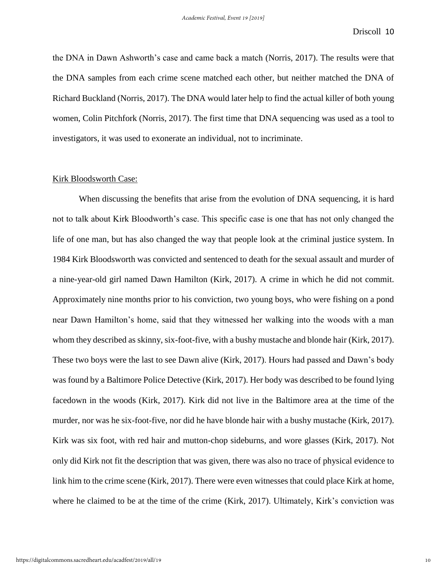the DNA in Dawn Ashworth's case and came back a match (Norris, 2017). The results were that the DNA samples from each crime scene matched each other, but neither matched the DNA of Richard Buckland (Norris, 2017). The DNA would later help to find the actual killer of both young women, Colin Pitchfork (Norris, 2017). The first time that DNA sequencing was used as a tool to investigators, it was used to exonerate an individual, not to incriminate.

### Kirk Bloodsworth Case:

When discussing the benefits that arise from the evolution of DNA sequencing, it is hard not to talk about Kirk Bloodworth's case. This specific case is one that has not only changed the life of one man, but has also changed the way that people look at the criminal justice system. In 1984 Kirk Bloodsworth was convicted and sentenced to death for the sexual assault and murder of a nine-year-old girl named Dawn Hamilton (Kirk, 2017). A crime in which he did not commit. Approximately nine months prior to his conviction, two young boys, who were fishing on a pond near Dawn Hamilton's home, said that they witnessed her walking into the woods with a man whom they described as skinny, six-foot-five, with a bushy mustache and blonde hair (Kirk, 2017). These two boys were the last to see Dawn alive (Kirk, 2017). Hours had passed and Dawn's body was found by a Baltimore Police Detective (Kirk, 2017). Her body was described to be found lying facedown in the woods (Kirk, 2017). Kirk did not live in the Baltimore area at the time of the murder, nor was he six-foot-five, nor did he have blonde hair with a bushy mustache (Kirk, 2017). Kirk was six foot, with red hair and mutton-chop sideburns, and wore glasses (Kirk, 2017). Not only did Kirk not fit the description that was given, there was also no trace of physical evidence to link him to the crime scene (Kirk, 2017). There were even witnesses that could place Kirk at home, where he claimed to be at the time of the crime (Kirk, 2017). Ultimately, Kirk's conviction was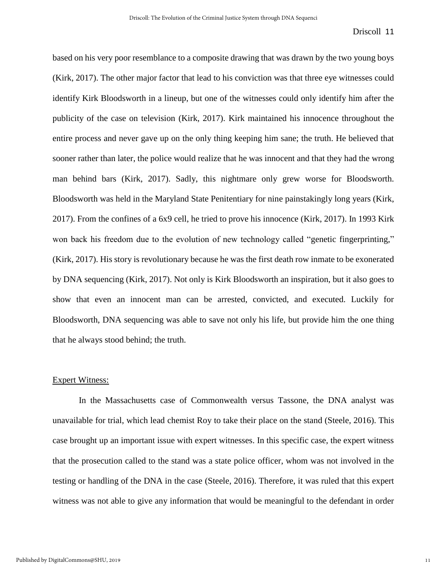based on his very poor resemblance to a composite drawing that was drawn by the two young boys (Kirk, 2017). The other major factor that lead to his conviction was that three eye witnesses could identify Kirk Bloodsworth in a lineup, but one of the witnesses could only identify him after the publicity of the case on television (Kirk, 2017). Kirk maintained his innocence throughout the entire process and never gave up on the only thing keeping him sane; the truth. He believed that sooner rather than later, the police would realize that he was innocent and that they had the wrong man behind bars (Kirk, 2017). Sadly, this nightmare only grew worse for Bloodsworth. Bloodsworth was held in the Maryland State Penitentiary for nine painstakingly long years (Kirk, 2017). From the confines of a 6x9 cell, he tried to prove his innocence (Kirk, 2017). In 1993 Kirk won back his freedom due to the evolution of new technology called "genetic fingerprinting," (Kirk, 2017). His story is revolutionary because he was the first death row inmate to be exonerated by DNA sequencing (Kirk, 2017). Not only is Kirk Bloodsworth an inspiration, but it also goes to show that even an innocent man can be arrested, convicted, and executed. Luckily for Bloodsworth, DNA sequencing was able to save not only his life, but provide him the one thing that he always stood behind; the truth.

#### Expert Witness:

In the Massachusetts case of Commonwealth versus Tassone, the DNA analyst was unavailable for trial, which lead chemist Roy to take their place on the stand (Steele, 2016). This case brought up an important issue with expert witnesses. In this specific case, the expert witness that the prosecution called to the stand was a state police officer, whom was not involved in the testing or handling of the DNA in the case (Steele, 2016). Therefore, it was ruled that this expert witness was not able to give any information that would be meaningful to the defendant in order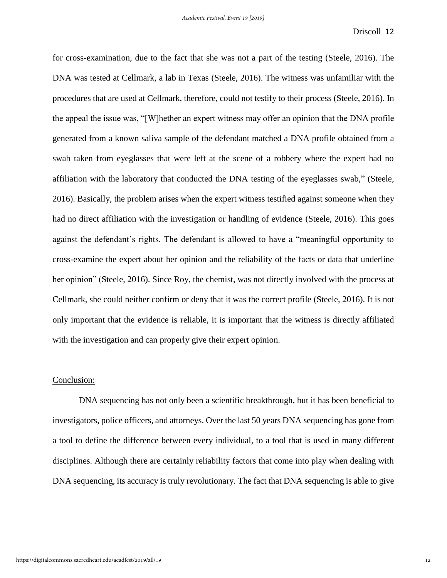for cross-examination, due to the fact that she was not a part of the testing (Steele, 2016). The DNA was tested at Cellmark, a lab in Texas (Steele, 2016). The witness was unfamiliar with the procedures that are used at Cellmark, therefore, could not testify to their process (Steele, 2016). In the appeal the issue was, "[W]hether an expert witness may offer an opinion that the DNA profile generated from a known saliva sample of the defendant matched a DNA profile obtained from a swab taken from eyeglasses that were left at the scene of a robbery where the expert had no affiliation with the laboratory that conducted the DNA testing of the eyeglasses swab," (Steele, 2016). Basically, the problem arises when the expert witness testified against someone when they had no direct affiliation with the investigation or handling of evidence (Steele, 2016). This goes against the defendant's rights. The defendant is allowed to have a "meaningful opportunity to cross-examine the expert about her opinion and the reliability of the facts or data that underline her opinion" (Steele, 2016). Since Roy, the chemist, was not directly involved with the process at Cellmark, she could neither confirm or deny that it was the correct profile (Steele, 2016). It is not only important that the evidence is reliable, it is important that the witness is directly affiliated with the investigation and can properly give their expert opinion.

# Conclusion:

DNA sequencing has not only been a scientific breakthrough, but it has been beneficial to investigators, police officers, and attorneys. Over the last 50 years DNA sequencing has gone from a tool to define the difference between every individual, to a tool that is used in many different disciplines. Although there are certainly reliability factors that come into play when dealing with DNA sequencing, its accuracy is truly revolutionary. The fact that DNA sequencing is able to give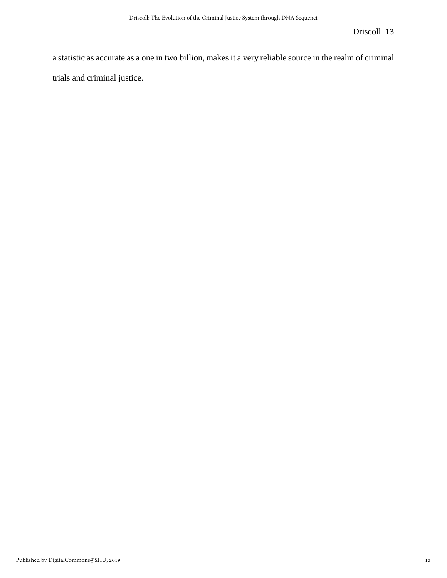a statistic as accurate as a one in two billion, makes it a very reliable source in the realm of criminal trials and criminal justice.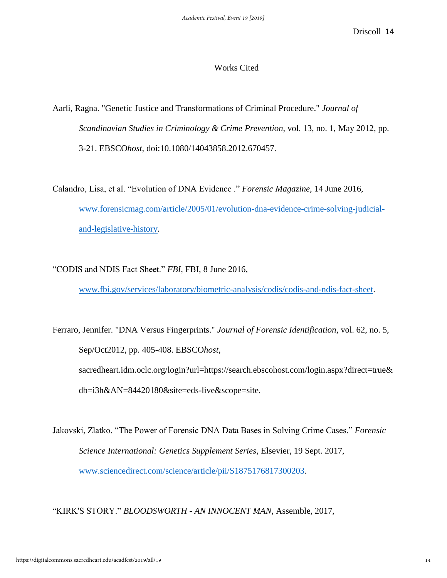# Works Cited

Aarli, Ragna. "Genetic Justice and Transformations of Criminal Procedure." *Journal of Scandinavian Studies in Criminology & Crime Prevention*, vol. 13, no. 1, May 2012, pp. 3-21. EBSCO*host*, doi:10.1080/14043858.2012.670457.

Calandro, Lisa, et al. "Evolution of DNA Evidence ." *Forensic Magazine*, 14 June 2016, [www.forensicmag.com/article/2005/01/evolution-dna-evidence-crime-solving-judicial](http://www.forensicmag.com/article/2005/01/evolution-dna-evidence-crime-solving-judicial-and-legislative-history)[and-legislative-history.](http://www.forensicmag.com/article/2005/01/evolution-dna-evidence-crime-solving-judicial-and-legislative-history)

"CODIS and NDIS Fact Sheet." *FBI*, FBI, 8 June 2016,

[www.fbi.gov/services/laboratory/biometric-analysis/codis/codis-and-ndis-fact-sheet.](http://www.fbi.gov/services/laboratory/biometric-analysis/codis/codis-and-ndis-fact-sheet)

Ferraro, Jennifer. "DNA Versus Fingerprints." *Journal of Forensic Identification*, vol. 62, no. 5, Sep/Oct2012, pp. 405-408. EBSCO*host*, sacredheart.idm.oclc.org/login?url=https://search.ebscohost.com/login.aspx?direct=true& db=i3h&AN=84420180&site=eds-live&scope=site.

Jakovski, Zlatko. "The Power of Forensic DNA Data Bases in Solving Crime Cases." *Forensic Science International: Genetics Supplement Series*, Elsevier, 19 Sept. 2017, [www.sciencedirect.com/science/article/pii/S1875176817300203.](http://www.sciencedirect.com/science/article/pii/S1875176817300203)

"KIRK'S STORY." *BLOODSWORTH - AN INNOCENT MAN*, Assemble, 2017,